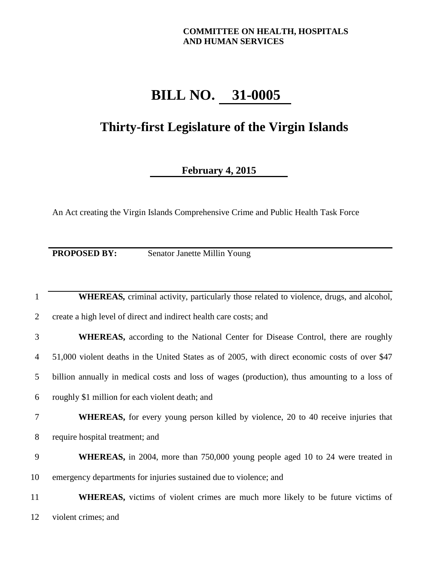## **COMMITTEE ON HEALTH, HOSPITALS AND HUMAN SERVICES**

## **BILL NO. 31-0005**

## **Thirty-first Legislature of the Virgin Islands**

## **February 4, 2015**

An Act creating the Virgin Islands Comprehensive Crime and Public Health Task Force

**PROPOSED BY:** Senator Janette Millin Young

| 1  | <b>WHEREAS</b> , criminal activity, particularly those related to violence, drugs, and alcohol, |
|----|-------------------------------------------------------------------------------------------------|
| 2  | create a high level of direct and indirect health care costs; and                               |
| 3  | <b>WHEREAS,</b> according to the National Center for Disease Control, there are roughly         |
| 4  | 51,000 violent deaths in the United States as of 2005, with direct economic costs of over \$47  |
| 5  | billion annually in medical costs and loss of wages (production), thus amounting to a loss of   |
| 6  | roughly \$1 million for each violent death; and                                                 |
| 7  | <b>WHEREAS</b> , for every young person killed by violence, 20 to 40 receive injuries that      |
| 8  | require hospital treatment; and                                                                 |
| 9  | <b>WHEREAS</b> , in 2004, more than 750,000 young people aged 10 to 24 were treated in          |
| 10 | emergency departments for injuries sustained due to violence; and                               |
|    |                                                                                                 |
| 11 | <b>WHEREAS</b> , victims of violent crimes are much more likely to be future victims of         |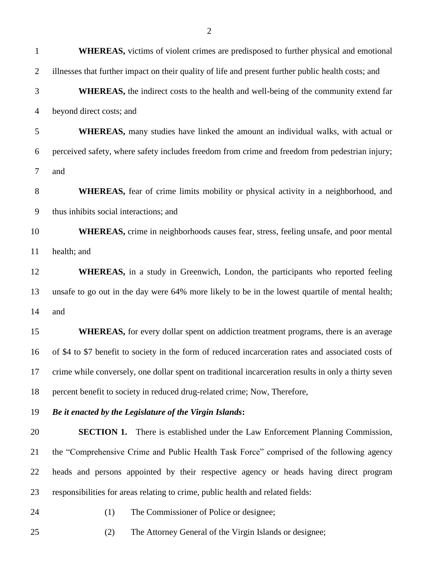| $\mathbf{1}$   | <b>WHEREAS</b> , victims of violent crimes are predisposed to further physical and emotional         |
|----------------|------------------------------------------------------------------------------------------------------|
| $\overline{2}$ | illnesses that further impact on their quality of life and present further public health costs; and  |
| 3              | <b>WHEREAS</b> , the indirect costs to the health and well-being of the community extend far         |
| $\overline{4}$ | beyond direct costs; and                                                                             |
| 5              | <b>WHEREAS</b> , many studies have linked the amount an individual walks, with actual or             |
| 6              | perceived safety, where safety includes freedom from crime and freedom from pedestrian injury;       |
| $\tau$         | and                                                                                                  |
| $8\,$          | <b>WHEREAS</b> , fear of crime limits mobility or physical activity in a neighborhood, and           |
| 9              | thus inhibits social interactions; and                                                               |
| 10             | <b>WHEREAS</b> , crime in neighborhoods causes fear, stress, feeling unsafe, and poor mental         |
| 11             | health; and                                                                                          |
| 12             | <b>WHEREAS</b> , in a study in Greenwich, London, the participants who reported feeling              |
| 13             | unsafe to go out in the day were 64% more likely to be in the lowest quartile of mental health;      |
| 14             | and                                                                                                  |
| 15             | WHEREAS, for every dollar spent on addiction treatment programs, there is an average                 |
| 16             | of \$4 to \$7 benefit to society in the form of reduced incarceration rates and associated costs of  |
| 17             | crime while conversely, one dollar spent on traditional incarceration results in only a thirty seven |
| 18             | percent benefit to society in reduced drug-related crime; Now, Therefore,                            |
| 19             | Be it enacted by the Legislature of the Virgin Islands:                                              |
| 20             | <b>SECTION 1.</b> There is established under the Law Enforcement Planning Commission,                |
| 21             | the "Comprehensive Crime and Public Health Task Force" comprised of the following agency             |
| 22             | heads and persons appointed by their respective agency or heads having direct program                |
| 23             | responsibilities for areas relating to crime, public health and related fields:                      |

- (1) The Commissioner of Police or designee;
- (2) The Attorney General of the Virgin Islands or designee;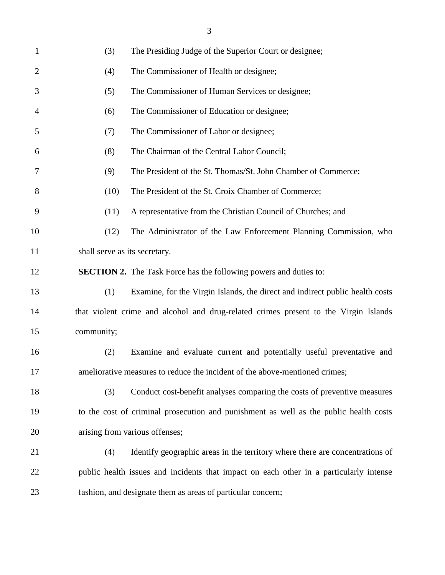| $\mathbf{1}$   | (3)<br>The Presiding Judge of the Superior Court or designee;                          |
|----------------|----------------------------------------------------------------------------------------|
| $\overline{2}$ | The Commissioner of Health or designee;<br>(4)                                         |
| 3              | The Commissioner of Human Services or designee;<br>(5)                                 |
| 4              | (6)<br>The Commissioner of Education or designee;                                      |
| 5              | The Commissioner of Labor or designee;<br>(7)                                          |
| 6              | The Chairman of the Central Labor Council;<br>(8)                                      |
| 7              | The President of the St. Thomas/St. John Chamber of Commerce;<br>(9)                   |
| 8              | (10)<br>The President of the St. Croix Chamber of Commerce;                            |
| 9              | (11)<br>A representative from the Christian Council of Churches; and                   |
| 10             | The Administrator of the Law Enforcement Planning Commission, who<br>(12)              |
| 11             | shall serve as its secretary.                                                          |
| 12             | <b>SECTION 2.</b> The Task Force has the following powers and duties to:               |
| 13             | (1)<br>Examine, for the Virgin Islands, the direct and indirect public health costs    |
| 14             | that violent crime and alcohol and drug-related crimes present to the Virgin Islands   |
| 15             | community;                                                                             |
| 16             | Examine and evaluate current and potentially useful preventative and<br>(2)            |
| 17             | ameliorative measures to reduce the incident of the above-mentioned crimes;            |
| 18             | Conduct cost-benefit analyses comparing the costs of preventive measures<br>(3)        |
| 19             | to the cost of criminal prosecution and punishment as well as the public health costs  |
| 20             | arising from various offenses;                                                         |
| 21             | Identify geographic areas in the territory where there are concentrations of<br>(4)    |
| 22             | public health issues and incidents that impact on each other in a particularly intense |
| 23             | fashion, and designate them as areas of particular concern;                            |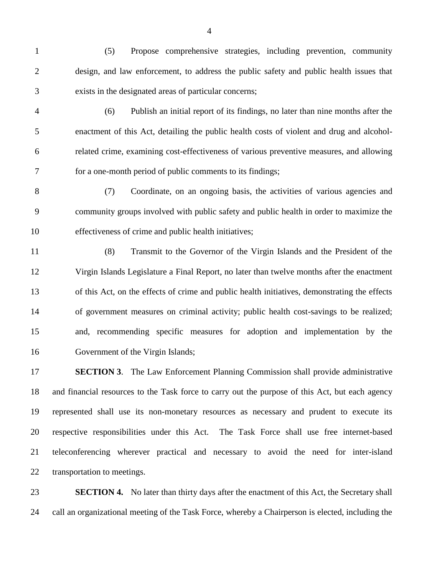- (5) Propose comprehensive strategies, including prevention, community design, and law enforcement, to address the public safety and public health issues that exists in the designated areas of particular concerns;
- (6) Publish an initial report of its findings, no later than nine months after the enactment of this Act, detailing the public health costs of violent and drug and alcohol- related crime, examining cost-effectiveness of various preventive measures, and allowing for a one-month period of public comments to its findings;
- (7) Coordinate, on an ongoing basis, the activities of various agencies and community groups involved with public safety and public health in order to maximize the effectiveness of crime and public health initiatives;
- (8) Transmit to the Governor of the Virgin Islands and the President of the Virgin Islands Legislature a Final Report, no later than twelve months after the enactment of this Act, on the effects of crime and public health initiatives, demonstrating the effects of government measures on criminal activity; public health cost-savings to be realized; and, recommending specific measures for adoption and implementation by the Government of the Virgin Islands;

 **SECTION 3**. The Law Enforcement Planning Commission shall provide administrative and financial resources to the Task force to carry out the purpose of this Act, but each agency represented shall use its non-monetary resources as necessary and prudent to execute its respective responsibilities under this Act. The Task Force shall use free internet-based teleconferencing wherever practical and necessary to avoid the need for inter-island transportation to meetings.

**SECTION 4.** No later than thirty days after the enactment of this Act, the Secretary shall call an organizational meeting of the Task Force, whereby a Chairperson is elected, including the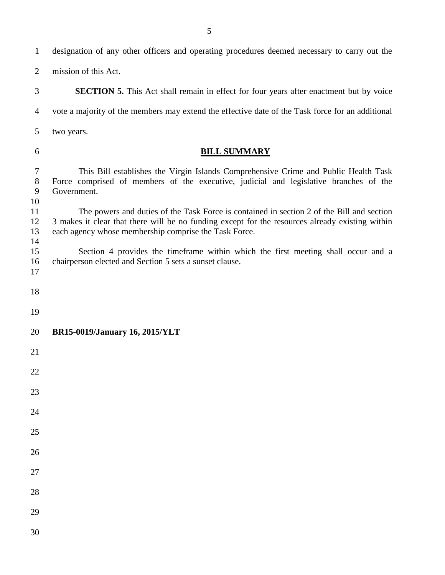designation of any other officers and operating procedures deemed necessary to carry out the mission of this Act. **SECTION 5.** This Act shall remain in effect for four years after enactment but by voice vote a majority of the members may extend the effective date of the Task force for an additional two years. **BILL SUMMARY** This Bill establishes the Virgin Islands Comprehensive Crime and Public Health Task Force comprised of members of the executive, judicial and legislative branches of the Government. The powers and duties of the Task Force is contained in section 2 of the Bill and section 3 makes it clear that there will be no funding except for the resources already existing within each agency whose membership comprise the Task Force. Section 4 provides the timeframe within which the first meeting shall occur and a chairperson elected and Section 5 sets a sunset clause. **BR15-0019/January 16, 2015/YLT**